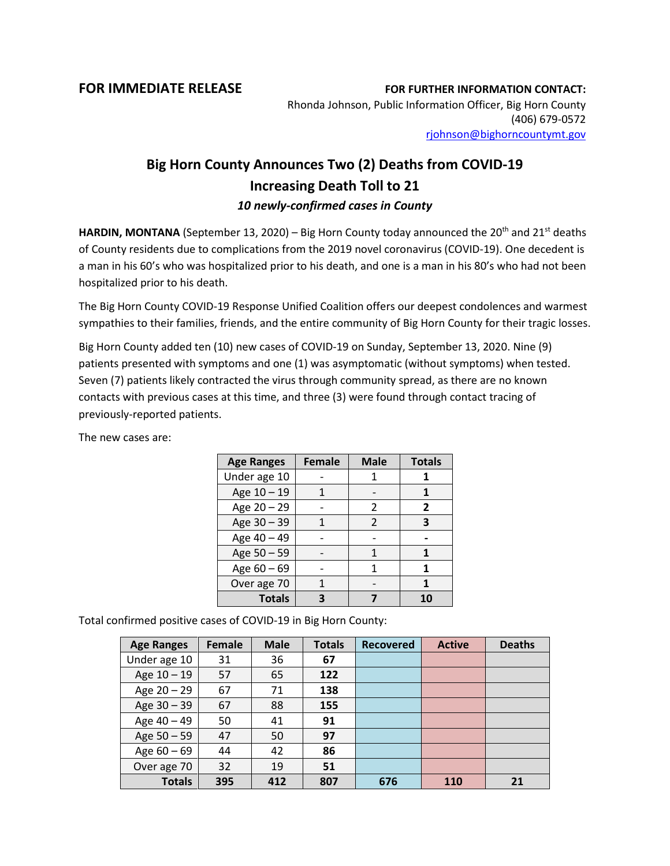**FOR IMMEDIATE RELEASE FOR FURTHER INFORMATION CONTACT:** Rhonda Johnson, Public Information Officer, Big Horn County (406) 679-0572 [rjohnson@bighorncountymt.gov](mailto:rjohnson@bighorncountymt.gov)

## **Big Horn County Announces Two (2) Deaths from COVID-19 Increasing Death Toll to 21** *10 newly-confirmed cases in County*

**HARDIN, MONTANA** (September 13, 2020) – Big Horn County today announced the 20<sup>th</sup> and 21<sup>st</sup> deaths of County residents due to complications from the 2019 novel coronavirus (COVID-19). One decedent is a man in his 60's who was hospitalized prior to his death, and one is a man in his 80's who had not been hospitalized prior to his death.

The Big Horn County COVID-19 Response Unified Coalition offers our deepest condolences and warmest sympathies to their families, friends, and the entire community of Big Horn County for their tragic losses.

Big Horn County added ten (10) new cases of COVID-19 on Sunday, September 13, 2020. Nine (9) patients presented with symptoms and one (1) was asymptomatic (without symptoms) when tested. Seven (7) patients likely contracted the virus through community spread, as there are no known contacts with previous cases at this time, and three (3) were found through contact tracing of previously-reported patients.

| <b>Age Ranges</b> | <b>Female</b> | <b>Male</b> | <b>Totals</b> |
|-------------------|---------------|-------------|---------------|
| Under age 10      |               |             |               |
| Age 10 - 19       |               |             | 1             |
| Age 20 - 29       |               | 2           | 2             |
| Age 30 - 39       |               | 2           | 3             |
| Age 40 - 49       |               |             |               |
| Age 50 - 59       |               | 1           |               |
| Age 60 - 69       |               | 1           | 1             |
| Over age 70       |               |             |               |
| <b>Totals</b>     |               |             |               |

The new cases are:

Total confirmed positive cases of COVID-19 in Big Horn County:

| <b>Age Ranges</b> | Female | <b>Male</b> | <b>Totals</b> | <b>Recovered</b> | <b>Active</b> | <b>Deaths</b> |
|-------------------|--------|-------------|---------------|------------------|---------------|---------------|
| Under age 10      | 31     | 36          | 67            |                  |               |               |
| Age 10 - 19       | 57     | 65          | 122           |                  |               |               |
| Age 20 - 29       | 67     | 71          | 138           |                  |               |               |
| Age 30 - 39       | 67     | 88          | 155           |                  |               |               |
| Age 40 - 49       | 50     | 41          | 91            |                  |               |               |
| Age 50 - 59       | 47     | 50          | 97            |                  |               |               |
| Age $60 - 69$     | 44     | 42          | 86            |                  |               |               |
| Over age 70       | 32     | 19          | 51            |                  |               |               |
| <b>Totals</b>     | 395    | 412         | 807           | 676              | 110           | 21            |